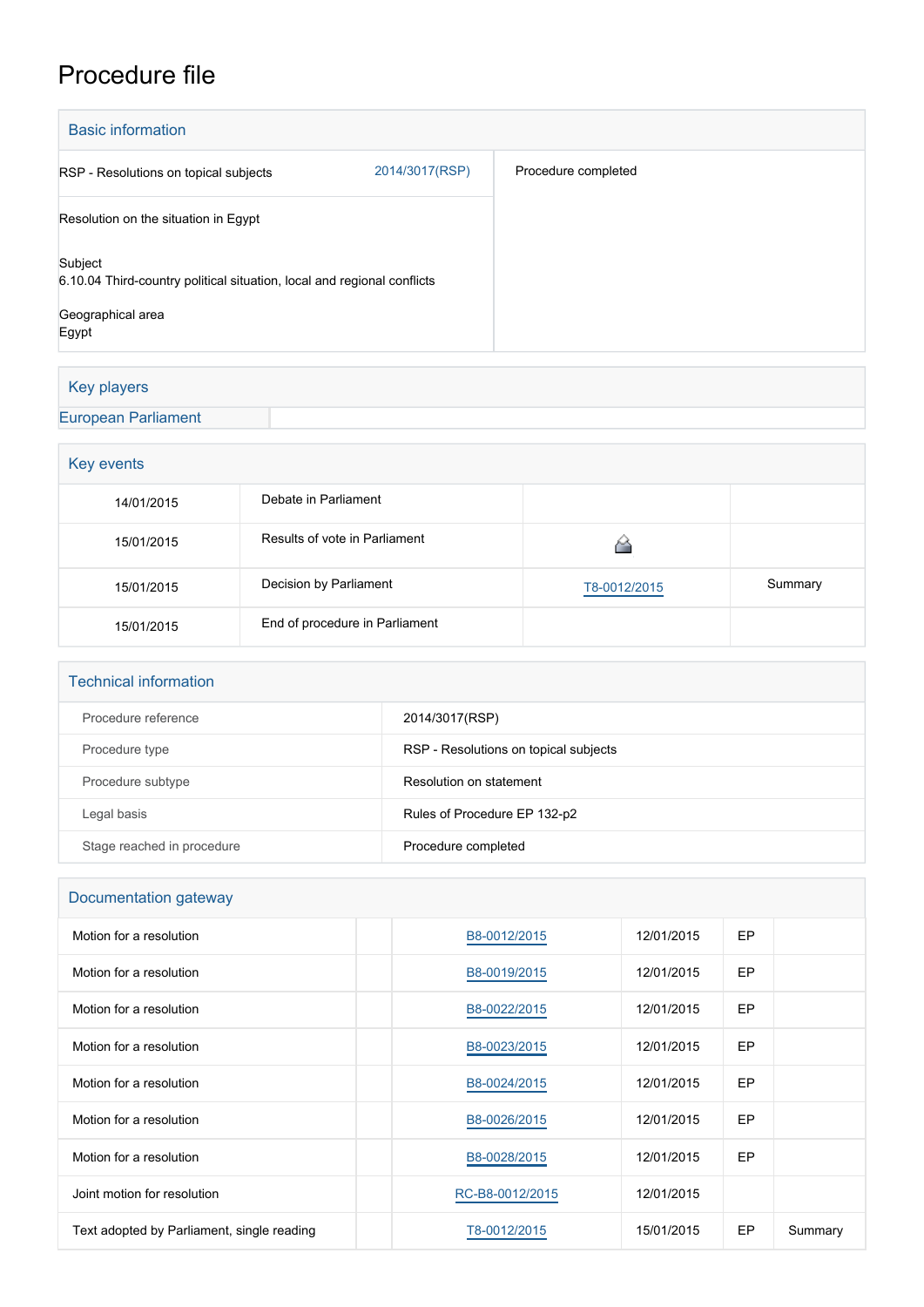## Procedure file

| <b>Basic information</b>                                                           |                |                     |
|------------------------------------------------------------------------------------|----------------|---------------------|
| RSP - Resolutions on topical subjects                                              | 2014/3017(RSP) | Procedure completed |
| Resolution on the situation in Egypt                                               |                |                     |
| Subject<br>6.10.04 Third-country political situation, local and regional conflicts |                |                     |
| Geographical area<br>Egypt                                                         |                |                     |

## Key players

## [European Parliament](http://www.europarl.europa.eu/)

| Key events |                                |              |         |  |  |
|------------|--------------------------------|--------------|---------|--|--|
| 14/01/2015 | Debate in Parliament           |              |         |  |  |
| 15/01/2015 | Results of vote in Parliament  |              |         |  |  |
| 15/01/2015 | Decision by Parliament         | T8-0012/2015 | Summary |  |  |
| 15/01/2015 | End of procedure in Parliament |              |         |  |  |

| <b>Technical information</b> |                                       |  |  |  |
|------------------------------|---------------------------------------|--|--|--|
| Procedure reference          | 2014/3017(RSP)                        |  |  |  |
| Procedure type               | RSP - Resolutions on topical subjects |  |  |  |
| Procedure subtype            | Resolution on statement               |  |  |  |
| Legal basis                  | Rules of Procedure EP 132-p2          |  |  |  |
| Stage reached in procedure   | Procedure completed                   |  |  |  |

| Documentation gateway                      |                 |            |     |         |  |  |
|--------------------------------------------|-----------------|------------|-----|---------|--|--|
| Motion for a resolution                    | B8-0012/2015    | 12/01/2015 | EP. |         |  |  |
| Motion for a resolution                    | B8-0019/2015    | 12/01/2015 | EP. |         |  |  |
| Motion for a resolution                    | B8-0022/2015    | 12/01/2015 | EP. |         |  |  |
| Motion for a resolution                    | B8-0023/2015    | 12/01/2015 | EP  |         |  |  |
| Motion for a resolution                    | B8-0024/2015    | 12/01/2015 | EP  |         |  |  |
| Motion for a resolution                    | B8-0026/2015    | 12/01/2015 | EP  |         |  |  |
| Motion for a resolution                    | B8-0028/2015    | 12/01/2015 | EP  |         |  |  |
| Joint motion for resolution                | RC-B8-0012/2015 | 12/01/2015 |     |         |  |  |
| Text adopted by Parliament, single reading | T8-0012/2015    | 15/01/2015 | EP  | Summary |  |  |